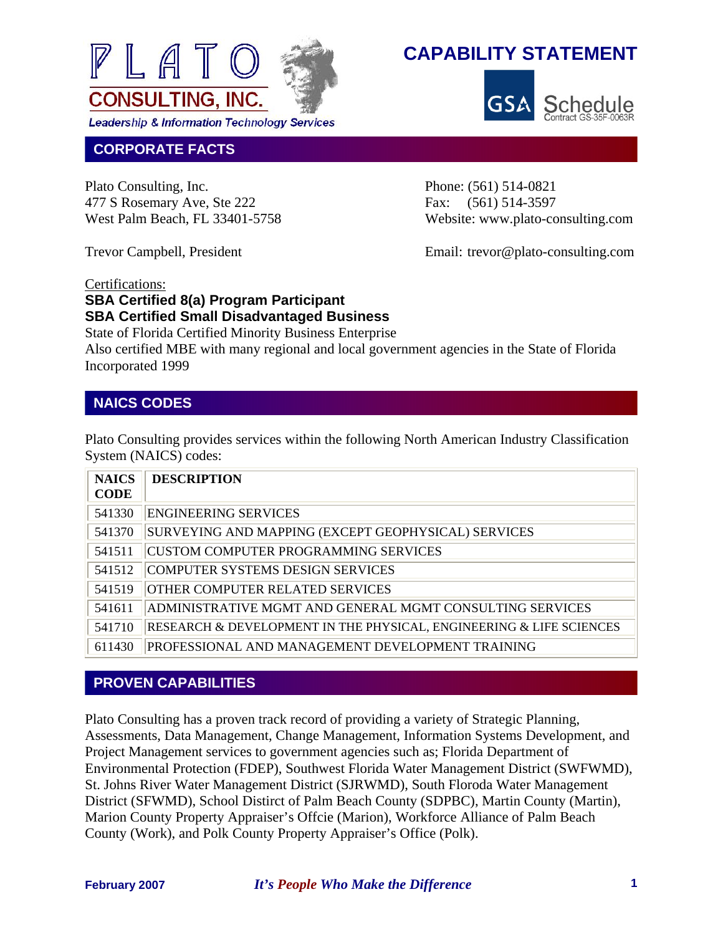



#### **CORPORATE FACTS**

Plato Consulting, Inc. Phone: (561) 514-0821 477 S Rosemary Ave, Ste 222 Fax: (561) 514-3597

West Palm Beach, FL 33401-5758 Website: www.plato-consulting.com

Trevor Campbell, President Email: trevor @plato-consulting.com

#### Certifications:

#### **SBA Certified 8(a) Program Participant SBA Certified Small Disadvantaged Business**

State of Florida Certified Minority Business Enterprise Also certified MBE with many regional and local government agencies in the State of Florida Incorporated 1999

#### **NAICS CODES**

Plato Consulting provides services within the following North American Industry Classification System (NAICS) codes:

| <b>NAICS</b> | <b>DESCRIPTION</b>                                                  |
|--------------|---------------------------------------------------------------------|
| <b>CODE</b>  |                                                                     |
| 541330       | <b>ENGINEERING SERVICES</b>                                         |
| 541370       | SURVEYING AND MAPPING (EXCEPT GEOPHYSICAL) SERVICES                 |
| 541511       | CUSTOM COMPUTER PROGRAMMING SERVICES                                |
| 541512       | COMPUTER SYSTEMS DESIGN SERVICES                                    |
| 541519       | <b>OTHER COMPUTER RELATED SERVICES</b>                              |
| 541611       | ADMINISTRATIVE MGMT AND GENERAL MGMT CONSULTING SERVICES            |
| 541710       | RESEARCH & DEVELOPMENT IN THE PHYSICAL, ENGINEERING & LIFE SCIENCES |
| 611430       | PROFESSIONAL AND MANAGEMENT DEVELOPMENT TRAINING                    |

#### **PROVEN CAPABILITIES**

Plato Consulting has a proven track record of providing a variety of Strategic Planning, Assessments, Data Management, Change Management, Information Systems Development, and Project Management services to government agencies such as; Florida Department of Environmental Protection (FDEP), Southwest Florida Water Management District (SWFWMD), St. Johns River Water Management District (SJRWMD), South Floroda Water Management District (SFWMD), School Distirct of Palm Beach County (SDPBC), Martin County (Martin), Marion County Property Appraiser's Offcie (Marion), Workforce Alliance of Palm Beach County (Work), and Polk County Property Appraiser's Office (Polk).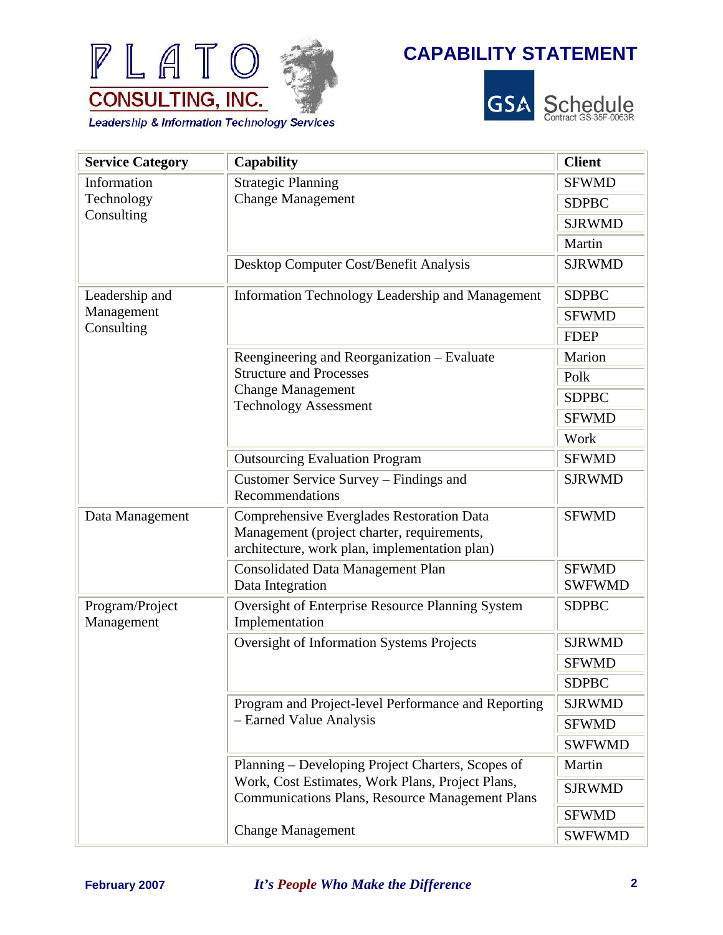



| <b>Service Category</b>       | <b>Capability</b>                                                                                                                        | <b>Client</b>                 |
|-------------------------------|------------------------------------------------------------------------------------------------------------------------------------------|-------------------------------|
| Information                   | <b>Strategic Planning</b><br><b>Change Management</b>                                                                                    | <b>SFWMD</b>                  |
| Technology                    |                                                                                                                                          | <b>SDPBC</b>                  |
| Consulting                    |                                                                                                                                          | <b>SJRWMD</b>                 |
|                               |                                                                                                                                          | Martin                        |
|                               | Desktop Computer Cost/Benefit Analysis                                                                                                   | <b>SJRWMD</b>                 |
| Leadership and                | Information Technology Leadership and Management                                                                                         | <b>SDPBC</b>                  |
| Management                    |                                                                                                                                          | <b>SFWMD</b>                  |
| Consulting                    |                                                                                                                                          | <b>FDEP</b>                   |
|                               | Reengineering and Reorganization – Evaluate                                                                                              | Marion                        |
|                               | <b>Structure and Processes</b>                                                                                                           | Polk                          |
|                               | <b>Change Management</b><br><b>Technology Assessment</b>                                                                                 | <b>SDPBC</b>                  |
|                               |                                                                                                                                          | <b>SFWMD</b>                  |
|                               |                                                                                                                                          | Work                          |
|                               | <b>Outsourcing Evaluation Program</b>                                                                                                    | <b>SFWMD</b>                  |
|                               | Customer Service Survey – Findings and<br>Recommendations                                                                                | <b>SJRWMD</b>                 |
| Data Management               | Comprehensive Everglades Restoration Data<br>Management (project charter, requirements,<br>architecture, work plan, implementation plan) | <b>SFWMD</b>                  |
|                               | <b>Consolidated Data Management Plan</b><br>Data Integration                                                                             | <b>SFWMD</b><br><b>SWFWMD</b> |
| Program/Project<br>Management | Oversight of Enterprise Resource Planning System<br>Implementation                                                                       | <b>SDPBC</b>                  |
|                               | <b>Oversight of Information Systems Projects</b>                                                                                         | <b>SJRWMD</b>                 |
|                               |                                                                                                                                          | <b>SFWMD</b>                  |
|                               |                                                                                                                                          | <b>SDPBC</b>                  |
|                               | Program and Project-level Performance and Reporting                                                                                      | <b>SJRWMD</b>                 |
|                               | - Earned Value Analysis                                                                                                                  | <b>SFWMD</b>                  |
|                               |                                                                                                                                          | <b>SWFWMD</b>                 |
|                               | Planning – Developing Project Charters, Scopes of                                                                                        | Martin                        |
|                               | Work, Cost Estimates, Work Plans, Project Plans,<br><b>Communications Plans, Resource Management Plans</b>                               | <b>SJRWMD</b>                 |
|                               |                                                                                                                                          | <b>SFWMD</b>                  |
|                               | <b>Change Management</b>                                                                                                                 | <b>SWFWMD</b>                 |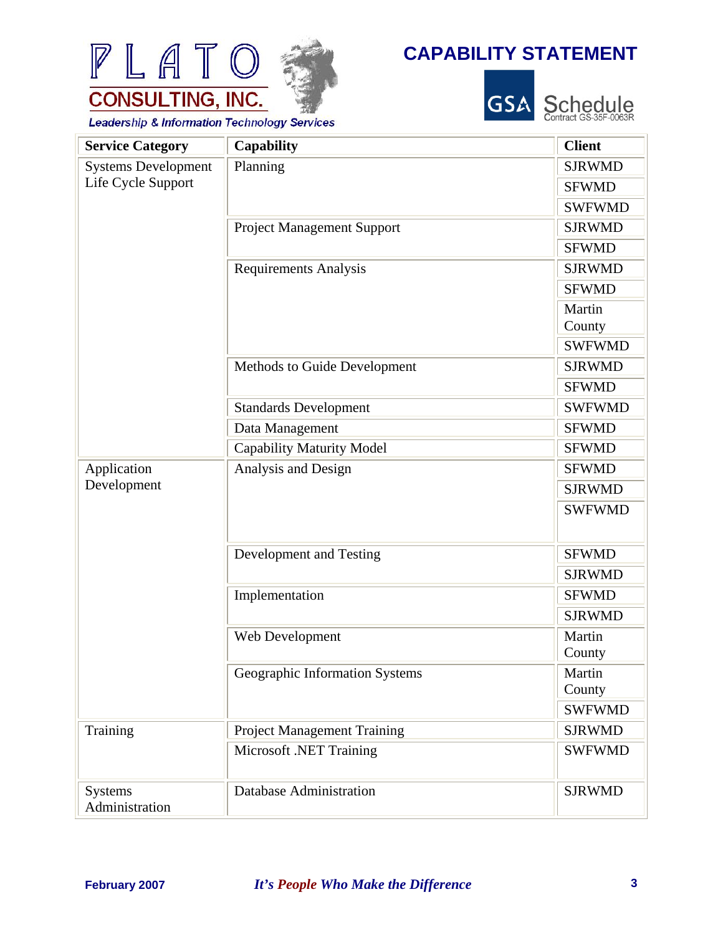



Schedule<br>Contract GS-35F-0063R

**Leadership & Information Technology Services** 

PLATO

**CONSULTING, INC.** 

| <b>Service Category</b>          | Capability                         | <b>Client</b>    |
|----------------------------------|------------------------------------|------------------|
| <b>Systems Development</b>       | Planning                           | <b>SJRWMD</b>    |
| Life Cycle Support               |                                    | <b>SFWMD</b>     |
|                                  |                                    | <b>SWFWMD</b>    |
|                                  | <b>Project Management Support</b>  | <b>SJRWMD</b>    |
|                                  |                                    | <b>SFWMD</b>     |
|                                  | <b>Requirements Analysis</b>       | <b>SJRWMD</b>    |
|                                  |                                    | <b>SFWMD</b>     |
|                                  |                                    | Martin<br>County |
|                                  |                                    | <b>SWFWMD</b>    |
|                                  | Methods to Guide Development       | <b>SJRWMD</b>    |
|                                  |                                    | <b>SFWMD</b>     |
|                                  | <b>Standards Development</b>       | <b>SWFWMD</b>    |
|                                  | Data Management                    | <b>SFWMD</b>     |
|                                  | <b>Capability Maturity Model</b>   | <b>SFWMD</b>     |
| Application                      | Analysis and Design                | <b>SFWMD</b>     |
| Development                      |                                    | <b>SJRWMD</b>    |
|                                  |                                    | <b>SWFWMD</b>    |
|                                  | Development and Testing            | <b>SFWMD</b>     |
|                                  |                                    | <b>SJRWMD</b>    |
|                                  | Implementation                     | <b>SFWMD</b>     |
|                                  |                                    | <b>SJRWMD</b>    |
|                                  | Web Development                    | Martin<br>County |
|                                  | Geographic Information Systems     | Martin<br>County |
|                                  |                                    | <b>SWFWMD</b>    |
| Training                         | <b>Project Management Training</b> | <b>SJRWMD</b>    |
|                                  | Microsoft .NET Training            | <b>SWFWMD</b>    |
| <b>Systems</b><br>Administration | <b>Database Administration</b>     | <b>SJRWMD</b>    |